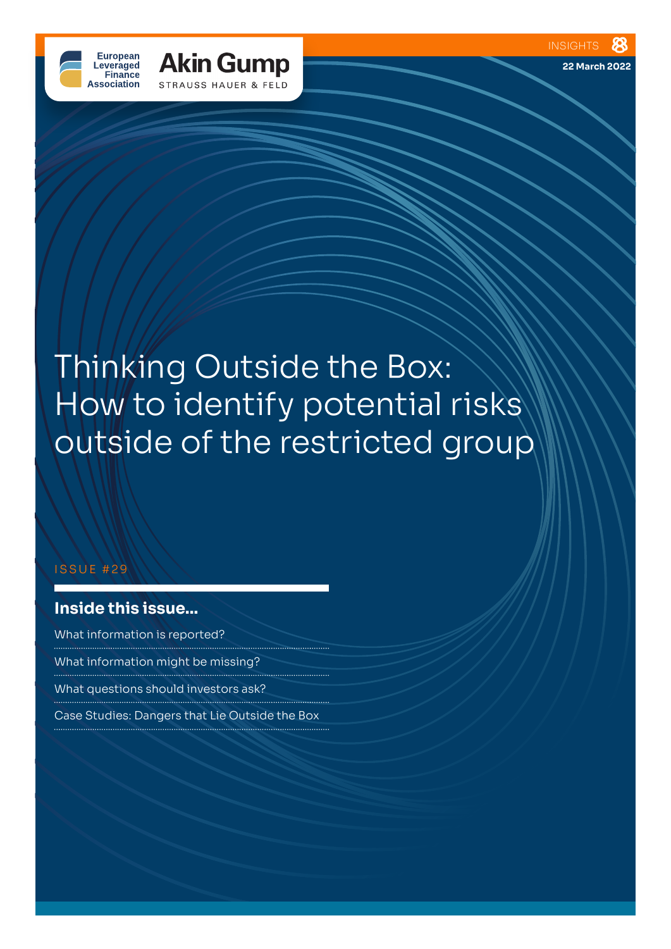**22 March 2022**





# Thinking Outside the Box: How to identify potential risks outside of the restricted group

#### ISSUE #29

# **Inside this issue...**

What information is reported? What information might be missing? What questions should investors ask? Case Studies: Dangers that Lie Outside the Box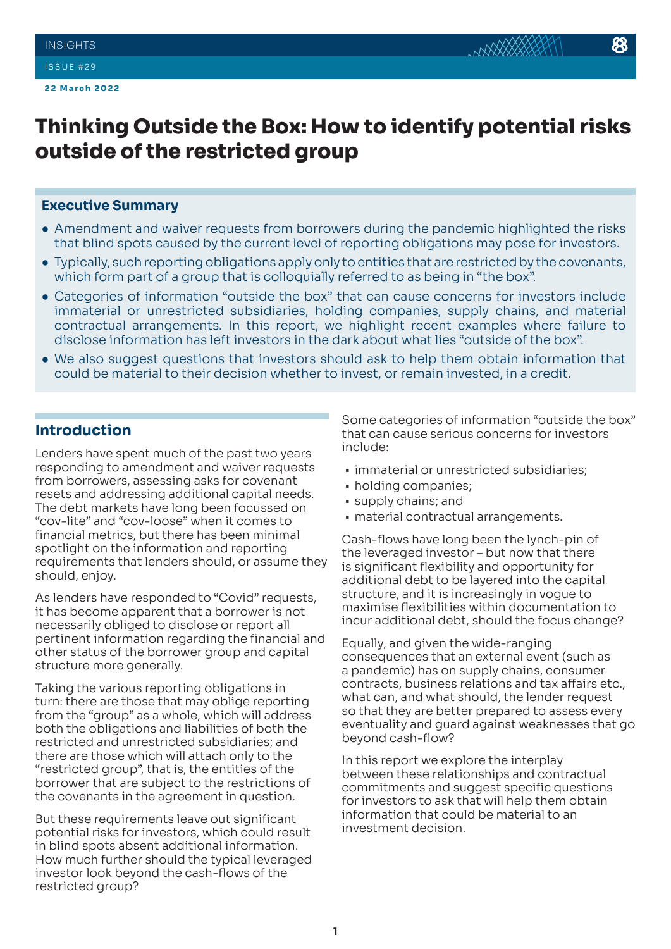#### **Executive Summary**

- Amendment and waiver requests from borrowers during the pandemic highlighted the risks that blind spots caused by the current level of reporting obligations may pose for investors.
- Typically, such reporting obligations apply only to entities that are restricted by the covenants, which form part of a group that is colloquially referred to as being in "the box".
- Categories of information "outside the box" that can cause concerns for investors include immaterial or unrestricted subsidiaries, holding companies, supply chains, and material contractual arrangements. In this report, we highlight recent examples where failure to disclose information has left investors in the dark about what lies "outside of the box".
- We also suggest questions that investors should ask to help them obtain information that could be material to their decision whether to invest, or remain invested, in a credit.

## **Introduction**

Lenders have spent much of the past two years responding to amendment and waiver requests from borrowers, assessing asks for covenant resets and addressing additional capital needs. The debt markets have long been focussed on "cov-lite" and "cov-loose" when it comes to financial metrics, but there has been minimal spotlight on the information and reporting requirements that lenders should, or assume they should, enjoy.

As lenders have responded to "Covid" requests, it has become apparent that a borrower is not necessarily obliged to disclose or report all pertinent information regarding the financial and other status of the borrower group and capital structure more generally.

Taking the various reporting obligations in turn: there are those that may oblige reporting from the "group" as a whole, which will address both the obligations and liabilities of both the restricted and unrestricted subsidiaries; and there are those which will attach only to the "restricted group", that is, the entities of the borrower that are subject to the restrictions of the covenants in the agreement in question.

But these requirements leave out significant potential risks for investors, which could result in blind spots absent additional information. How much further should the typical leveraged investor look beyond the cash-flows of the restricted group?

Some categories of information "outside the box" that can cause serious concerns for investors include:

- immaterial or unrestricted subsidiaries;
- holding companies;
- supply chains; and
- material contractual arrangements.

Cash-flows have long been the lynch-pin of the leveraged investor – but now that there is significant flexibility and opportunity for additional debt to be layered into the capital structure, and it is increasingly in vogue to maximise flexibilities within documentation to incur additional debt, should the focus change?

Equally, and given the wide-ranging consequences that an external event (such as a pandemic) has on supply chains, consumer contracts, business relations and tax affairs etc., what can, and what should, the lender request so that they are better prepared to assess every eventuality and guard against weaknesses that go beyond cash-flow?

In this report we explore the interplay between these relationships and contractual commitments and suggest specific questions for investors to ask that will help them obtain information that could be material to an investment decision.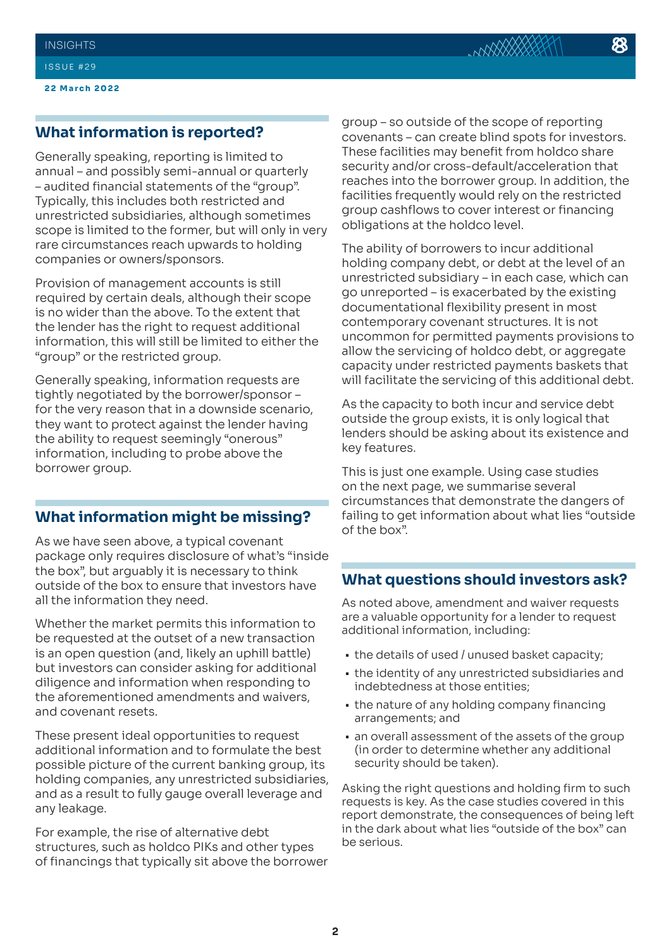**22 March 2022**

## **What information is reported?**

Generally speaking, reporting is limited to annual – and possibly semi-annual or quarterly – audited financial statements of the "group". Typically, this includes both restricted and unrestricted subsidiaries, although sometimes scope is limited to the former, but will only in very rare circumstances reach upwards to holding companies or owners/sponsors.

Provision of management accounts is still required by certain deals, although their scope is no wider than the above. To the extent that the lender has the right to request additional information, this will still be limited to either the "group" or the restricted group.

Generally speaking, information requests are tightly negotiated by the borrower/sponsor – for the very reason that in a downside scenario, they want to protect against the lender having the ability to request seemingly "onerous" information, including to probe above the borrower group.

### **What information might be missing?**

As we have seen above, a typical covenant package only requires disclosure of what's "inside the box", but arguably it is necessary to think outside of the box to ensure that investors have all the information they need.

Whether the market permits this information to be requested at the outset of a new transaction is an open question (and, likely an uphill battle) but investors can consider asking for additional diligence and information when responding to the aforementioned amendments and waivers, and covenant resets.

These present ideal opportunities to request additional information and to formulate the best possible picture of the current banking group, its holding companies, any unrestricted subsidiaries, and as a result to fully gauge overall leverage and any leakage.

For example, the rise of alternative debt structures, such as holdco PIKs and other types of financings that typically sit above the borrower

group – so outside of the scope of reporting covenants – can create blind spots for investors. These facilities may benefit from holdco share security and/or cross-default/acceleration that reaches into the borrower group. In addition, the facilities frequently would rely on the restricted group cashflows to cover interest or financing obligations at the holdco level.

The ability of borrowers to incur additional holding company debt, or debt at the level of an unrestricted subsidiary – in each case, which can go unreported – is exacerbated by the existing documentational flexibility present in most contemporary covenant structures. It is not uncommon for permitted payments provisions to allow the servicing of holdco debt, or aggregate capacity under restricted payments baskets that will facilitate the servicing of this additional debt.

As the capacity to both incur and service debt outside the group exists, it is only logical that lenders should be asking about its existence and key features.

This is just one example. Using case studies on the next page, we summarise several circumstances that demonstrate the dangers of failing to get information about what lies "outside of the box".

#### **What questions should investors ask?**

As noted above, amendment and waiver requests are a valuable opportunity for a lender to request additional information, including:

- the details of used / unused basket capacity;
- the identity of any unrestricted subsidiaries and indebtedness at those entities;
- the nature of any holding company financing arrangements; and
- an overall assessment of the assets of the group (in order to determine whether any additional security should be taken).

Asking the right questions and holding firm to such requests is key. As the case studies covered in this report demonstrate, the consequences of being left in the dark about what lies "outside of the box" can be serious.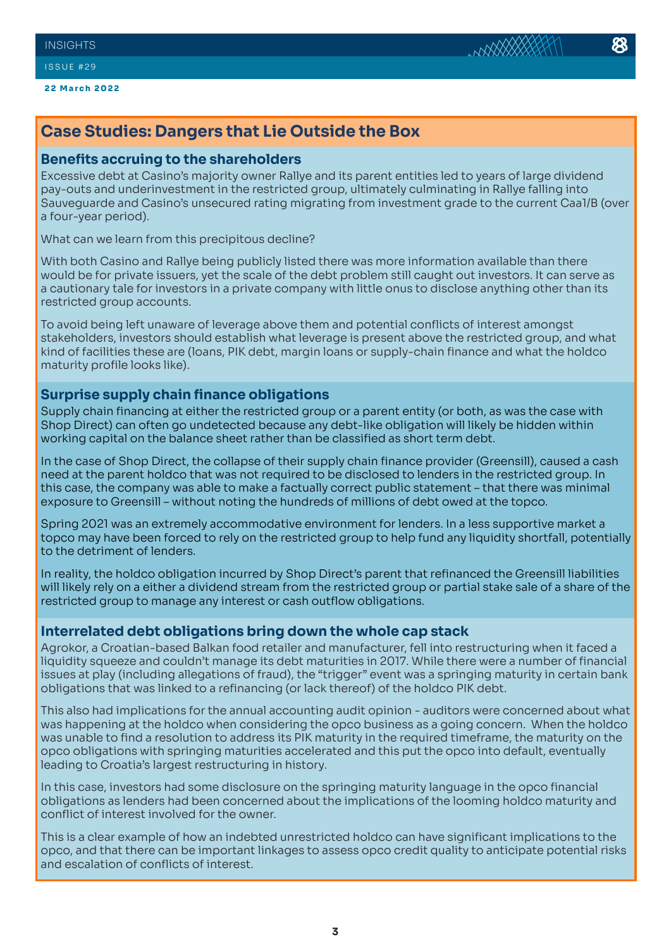# **Case Studies: Dangers that Lie Outside the Box**

#### **Benefits accruing to the shareholders**

Excessive debt at Casino's majority owner Rallye and its parent entities led to years of large dividend pay-outs and underinvestment in the restricted group, ultimately culminating in Rallye falling into Sauveguarde and Casino's unsecured rating migrating from investment grade to the current Caa1/B (over a four-year period).

What can we learn from this precipitous decline?

With both Casino and Rallye being publicly listed there was more information available than there would be for private issuers, yet the scale of the debt problem still caught out investors. It can serve as a cautionary tale for investors in a private company with little onus to disclose anything other than its restricted group accounts.

To avoid being left unaware of leverage above them and potential conflicts of interest amongst stakeholders, investors should establish what leverage is present above the restricted group, and what kind of facilities these are (loans, PIK debt, margin loans or supply-chain finance and what the holdco maturity profile looks like).

### **Surprise supply chain finance obligations**

Supply chain financing at either the restricted group or a parent entity (or both, as was the case with Shop Direct) can often go undetected because any debt-like obligation will likely be hidden within working capital on the balance sheet rather than be classified as short term debt.

In the case of Shop Direct, the collapse of their supply chain finance provider (Greensill), caused a cash need at the parent holdco that was not required to be disclosed to lenders in the restricted group. In this case, the company was able to make a factually correct public statement – that there was minimal exposure to Greensill – without noting the hundreds of millions of debt owed at the topco.

Spring 2021 was an extremely accommodative environment for lenders. In a less supportive market a topco may have been forced to rely on the restricted group to help fund any liquidity shortfall, potentially to the detriment of lenders.

In reality, the holdco obligation incurred by Shop Direct's parent that refinanced the Greensill liabilities will likely rely on a either a dividend stream from the restricted group or partial stake sale of a share of the restricted group to manage any interest or cash outflow obligations.

#### **Interrelated debt obligations bring down the whole cap stack**

Agrokor, a Croatian-based Balkan food retailer and manufacturer, fell into restructuring when it faced a liquidity squeeze and couldn't manage its debt maturities in 2017. While there were a number of financial issues at play (including allegations of fraud), the "trigger" event was a springing maturity in certain bank obligations that was linked to a refinancing (or lack thereof) of the holdco PIK debt.

This also had implications for the annual accounting audit opinion - auditors were concerned about what was happening at the holdco when considering the opco business as a going concern. When the holdco was unable to find a resolution to address its PIK maturity in the required timeframe, the maturity on the opco obligations with springing maturities accelerated and this put the opco into default, eventually leading to Croatia's largest restructuring in history.

In this case, investors had some disclosure on the springing maturity language in the opco financial obligations as lenders had been concerned about the implications of the looming holdco maturity and conflict of interest involved for the owner.

This is a clear example of how an indebted unrestricted holdco can have significant implications to the opco, and that there can be important linkages to assess opco credit quality to anticipate potential risks and escalation of conflicts of interest.

**NAXXXX**